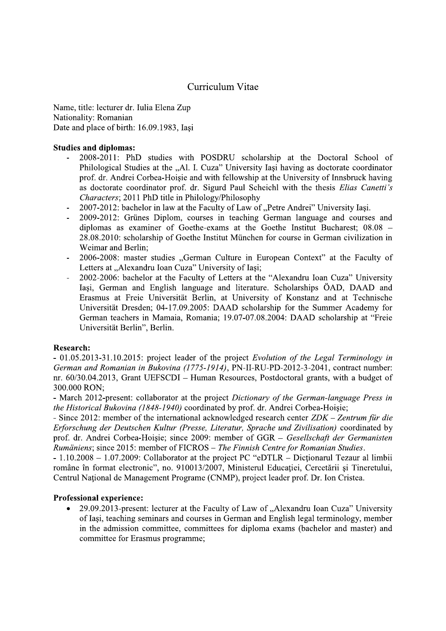# Curriculum Vitae

Name, title: lecturer dr. Iulia Elena Zup Nationality: Romanian Date and place of birth: 16.09.1983, Iasi

#### **Studies and diplomas:**

- 2008-2011: PhD studies with POSDRU scholarship at the Doctoral School of Philological Studies at the "Al. I. Cuza" University Iași having as doctorate coordinator prof. dr. Andrei Corbea-Hoisie and with fellowship at the University of Innsbruck having as doctorate coordinator prof. dr. Sigurd Paul Scheichl with the thesis Elias Canetti's Characters; 2011 PhD title in Philology/Philosophy
- 2007-2012: bachelor in law at the Faculty of Law of "Petre Andrei" University Iași.  $\mathcal{L}_{\mathcal{A}}$
- 2009-2012: Grünes Diplom, courses in teaching German language and courses and diplomas as examiner of Goethe-exams at the Goethe Institut Bucharest; 08.08 -28.08.2010: scholarship of Goethe Institut München for course in German civilization in Weimar and Berlin:
- 2006-2008: master studies "German Culture in European Context" at the Faculty of Letters at "Alexandru Ioan Cuza" University of Iasi;
- 2002-2006: bachelor at the Faculty of Letters at the "Alexandru Ioan Cuza" University Iași, German and English language and literature. Scholarships ÖAD, DAAD and Erasmus at Freie Universität Berlin, at University of Konstanz and at Technische Universität Dresden; 04-17.09.2005: DAAD scholarship for the Summer Academy for German teachers in Mamaia, Romania; 19.07-07.08.2004: DAAD scholarship at "Freie Universität Berlin", Berlin.

#### **Research:**

- 01.05.2013-31.10.2015: project leader of the project Evolution of the Legal Terminology in German and Romanian in Bukovina (1775-1914), PN-II-RU-PD-2012-3-2041, contract number: nr. 60/30.04.2013, Grant UEFSCDI - Human Resources, Postdoctoral grants, with a budget of 300.000 RON;

- March 2012-present: collaborator at the project Dictionary of the German-language Press in the Historical Bukovina (1848-1940) coordinated by prof. dr. Andrei Corbea-Hoisie:

- Since 2012: member of the international acknowledged research center ZDK – Zentrum für die Erforschung der Deutschen Kultur (Presse, Literatur, Sprache und Zivilisation) coordinated by prof. dr. Andrei Corbea-Hoișie; since 2009: member of GGR - Gesellschaft der Germanisten Rumäniens: since 2015: member of FICROS – The Finnish Centre for Romanian Studies.

 $-1.10.2008 - 1.07.2009$ : Collaborator at the project PC "eDTLR – Dictionarul Tezaur al limbii române în format electronic", no. 910013/2007, Ministerul Educației, Cercetării și Tineretului, Centrul Național de Management Programe (CNMP), project leader prof. Dr. Ion Cristea.

#### **Professional experience:**

29.09.2013-present: lecturer at the Faculty of Law of "Alexandru Ioan Cuza" University of Iași, teaching seminars and courses in German and English legal terminology, member in the admission committee, committees for diploma exams (bachelor and master) and committee for Erasmus programme;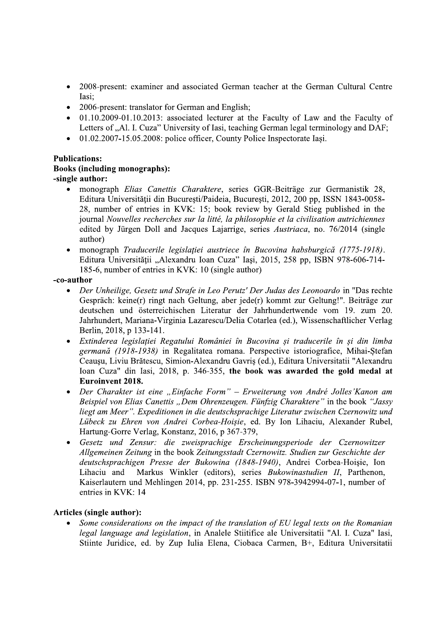- 2008-present: examiner and associated German teacher at the German Cultural Centre Iasi:
- 2006-present: translator for German and English;
- 01.10.2009-01.10.2013: associated lecturer at the Faculty of Law and the Faculty of Letters of "Al. I. Cuza" University of Iasi, teaching German legal terminology and DAF;
- $\bullet$  01.02.2007-15.05.2008: police officer, County Police Inspectorate Iasi.

# **Publications:**

#### **Books (including monographs):** -single author:

- · monograph Elias Canettis Charaktere, series GGR-Beiträge zur Germanistik 28, Editura Universității din București/Paideia, București, 2012, 200 pp, ISSN 1843-0058-28, number of entries in KVK: 15; book review by Gerald Stieg published in the journal Nouvelles recherches sur la litté, la philosophie et la civilisation autrichiennes edited by Jürgen Doll and Jacques Lajarrige, series Austriaca, no. 76/2014 (single author)
- monograph Traducerile legislatiei austriece în Bucovina habsburgică (1775-1918). Editura Universității "Alexandru Ioan Cuza" Iasi, 2015, 258 pp. ISBN 978-606-714-185-6, number of entries in KVK: 10 (single author)

#### -co-author

- Der Unheilige, Gesetz und Strafe in Leo Perutz' Der Judas des Leonoardo in "Das rechte  $\bullet$ Gespräch: keine(r) ringt nach Geltung, aber jede(r) kommt zur Geltung!". Beiträge zur deutschen und österreichischen Literatur der Jahrhundertwende vom 19. zum 20. Jahrhundert, Mariana-Virginia Lazarescu/Delia Cotarlea (ed.), Wissenschaftlicher Verlag Berlin, 2018, p 133-141.
- Extinderea legislatiei Regatului României în Bucovina și traducerile în și din limba germană (1918-1938) in Regalitatea romana. Perspective istoriografice, Mihai-Ștefan Ceaușu, Liviu Brătescu, Simion-Alexandru Gavriș (ed.), Editura Universitatii "Alexandru Ioan Cuza" din Iasi, 2018, p. 346-355, the book was awarded the gold medal at Euroinvent 2018.
- Der Charakter ist eine "Einfache Form" Erweiterung von André Jolles'Kanon am Beispiel von Elias Canettis "Dem Ohrenzeugen. Fünfzig Charaktere" in the book "Jassy liegt am Meer". Expeditionen in die deutschsprachige Literatur zwischen Czernowitz und Lübeck zu Ehren von Andrei Corbea-Hoișie, ed. By Ion Lihaciu, Alexander Rubel, Hartung-Gorre Verlag, Konstanz, 2016, p 367-379,
- Gesetz und Zensur: die zweisprachige Erscheinungsperiode der Czernowitzer Allgemeinen Zeitung in the book Zeitungsstadt Czernowitz. Studien zur Geschichte der deutschsprachigen Presse der Bukowina (1848-1940), Andrei Corbea-Hoișie, Ion Markus Winkler (editors), series Bukowinastudien II, Parthenon, Lihaciu and Kaiserlautern und Mehlingen 2014, pp. 231-255. ISBN 978-3942994-07-1, number of entries in KVK: 14

#### **Articles (single author):**

• Some considerations on the impact of the translation of EU legal texts on the Romanian legal language and legislation, in Analele Stiitifice ale Universitatii "Al. I. Cuza" Iasi, Stiinte Juridice, ed. by Zup Iulia Elena, Ciobaca Carmen, B+, Editura Universitatii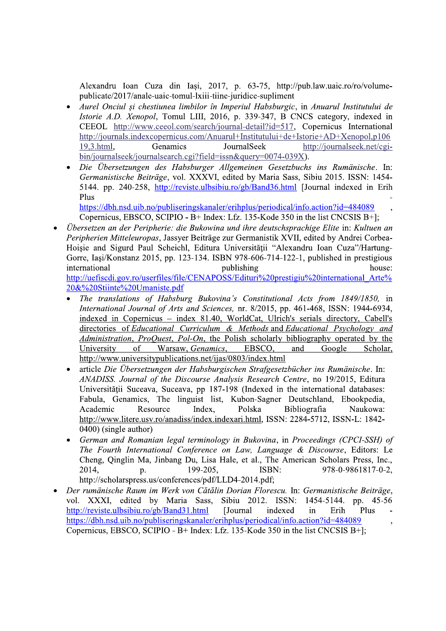Alexandru Ioan Cuza din Iasi, 2017, p. 63-75, http://pub.law.uaic.ro/ro/volumepublicate/2017/anale-uaic-tomul-lxiii-tiine-juridice-supliment

- Aurel Onciul și chestiunea limbilor în Imperiul Habsburgic, in Anuarul Institutului de Istorie A.D. Xenopol, Tomul LIII, 2016, p. 339-347, B CNCS category, indexed in CEEOL http://www.ceeol.com/search/journal-detail?id=517, Copernicus International http://journals.indexcopernicus.com/Anuarul+Institutului+de+Istorie+AD+Xenopol.p106 19,3.html, Genamics JournalSeek http://journalseek.net/cgibin/journalseek/journalsearch.cgi?field=issn&query=0074-039X).
- Die Übersetzungen des Habsburger Allgemeinen Gesetzbuchs ins Rumänische. In: Germanistische Beiträge, vol. XXXVI, edited by Maria Sass, Sibiu 2015. ISSN: 1454-5144. pp. 240-258. http://reviste.ulbsibiu.ro/gb/Band36.html [Journal indexed in Erih Plus

https://dbh.nsd.uib.no/publiseringskanaler/erihplus/periodical/info.action?id=484089 Copernicus, EBSCO, SCIPIO - B+ Index: Lfz. 135-Kode 350 in the list CNCSIS B+];

- Übersetzen an der Peripherie: die Bukowina und ihre deutschsprachige Elite in: Kultuen an Peripherien Mitteleuropas, Jassyer Beiträge zur Germanistik XVII, edited by Andrei Corbea-Hoisie and Sigurd Paul Scheichl, Editura Universității "Alexandru Ioan Cuza"/Hartung-Gorre, Iași/Konstanz 2015, pp. 123-134. ISBN 978-606-714-122-1, published in prestigious international publishing house: http://uefiscdi.gov.ro/userfiles/file/CENAPOSS/Edituri%20prestigiu%20international Arte% 20&%20Stiinte%20Umaniste.pdf
	- The translations of Habsburg Bukovina's Constitutional Acts from 1849/1850, in International Journal of Arts and Sciences, nr. 8/2015, pp. 461-468, ISSN: 1944-6934, indexed in Copernicus - index 81.40, WorldCat, Ulrich's serials directory, Cabell's directories of Educational Curriculum & Methods and Educational Psychology and Administration, ProQuest, Pol-On, the Polish scholarly bibliography operated by the University of Warsaw, Genamics, EBSCO, and Google Scholar, http://www.universitypublications.net/ijas/0803/index.html
	- article Die Übersetzungen der Habsburgischen Strafgesetzbücher ins Rumänische. In: ANADISS. Journal of the Discourse Analysis Research Centre, no 19/2015, Editura Universității Suceava, Suceava, pp 187-198 (Indexed in the international databases: Fabula, Genamics, The linguist list, Kubon-Sagner Deutschland, Ebookpedia, Academic Polska Bibliografia Resource Index, Naukowa: http://www.litere.usv.ro/anadiss/index.indexari.html, ISSN: 2284-5712, ISSN-L: 1842-0400) (single author)
	- German and Romanian legal terminology in Bukovina, in Proceedings (CPCI-SSH) of The Fourth International Conference on Law, Language & Discourse, Editors: Le Cheng, Qinglin Ma, Jinbang Du, Lisa Hale, et al., The American Scholars Press, Inc., 978-0-9861817-0-2, 2014, 199-205. ISBN: p. http://scholarspress.us/conferences/pdf/LLD4-2014.pdf;
- Der rumänische Raum im Werk von Cătălin Dorian Florescu. In: Germanistische Beiträge, vol. XXXI, edited by Maria Sass, Sibiu 2012. ISSN: 1454-5144. pp. 45-56 http://reviste.ulbsibiu.ro/gb/Band31.html [Journal] indexed in Erih Plus https://dbh.nsd.uib.no/publiseringskanaler/erihplus/periodical/info.action?id=484089 ŀ, Copernicus, EBSCO, SCIPIO - B+ Index: Lfz. 135-Kode 350 in the list CNCSIS B+];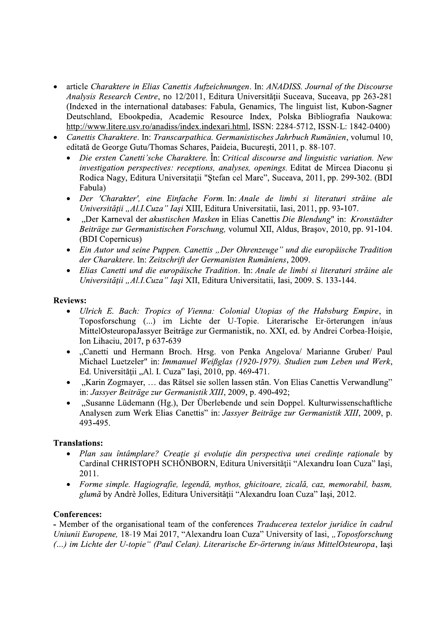- article Charaktere in Elias Canettis Aufzeichnungen. In: ANADISS. Journal of the Discourse Analysis Research Centre, no 12/2011, Editura Universității Suceava, Suceava, pp 263-281 (Indexed in the international databases: Fabula, Genamics, The linguist list, Kubon-Sagner Deutschland, Ebookpedia, Academic Resource Index, Polska Bibliografia Naukowa: http://www.litere.usv.ro/anadiss/index.indexari.html, ISSN: 2284-5712, ISSN-L: 1842-0400)
- Canettis Charaktere. In: Transcarpathica. Germanistisches Jahrbuch Rumänien, volumul 10, editată de George Gutu/Thomas Schares, Paideia, București, 2011, p. 88-107.
	- Die ersten Canetti'sche Charaktere. În: Critical discourse and linguistic variation. New investigation perspectives: receptions, analyses, openings. Editat de Mircea Diaconu și Rodica Nagy, Editura Universitatii "Ștefan cel Mare", Suceava, 2011, pp. 299-302. (BDI Fabula)
	- Der 'Charakter', eine Einfache Form. In: Anale de limbi si literaturi străine ale Universității "Al.I.Cuza" Iași XIII, Editura Universitatii, Iasi, 2011, pp. 93-107.
	- "Der Karneval der akustischen Masken in Elias Canettis Die Blendung" in: Kronstädter Beiträge zur Germanistischen Forschung, volumul XII, Aldus, Brașov, 2010, pp. 91-104. (BDI Copernicus)
	- Ein Autor und seine Puppen. Canettis "Der Ohrenzeuge" und die europäische Tradition der Charaktere. In: Zeitschrift der Germanisten Rumäniens, 2009.
	- Elias Canetti und die europäische Tradition. In: Anale de limbi si literaturi străine ale Universității "Al.I.Cuza" Iași XII, Editura Universitatii, Iași, 2009. S. 133-144.

### **Reviews:**

- Ulrich E. Bach: Tropics of Vienna: Colonial Utopias of the Habsburg Empire, in Toposforschung (...) im Lichte der U-Topie. Literarische Er-örterungen in/aus MittelOsteuropaJassyer Beiträge zur Germanistik, no. XXI, ed. by Andrei Corbea-Hoișie, Ion Lihaciu, 2017, p 637-639
- "Canetti und Hermann Broch. Hrsg. von Penka Angelova/ Marianne Gruber/ Paul Michael Luetzeler" in: Immanuel Weißglas (1920-1979). Studien zum Leben und Werk, Ed. Universității "Al. I. Cuza" Iași, 2010, pp. 469-471.
- "Karin Zogmayer, ... das Rätsel sie sollen lassen stân. Von Elias Canettis Verwandlung" in: Jassver Beiträge zur Germanistik XIII, 2009, p. 490-492;
- "Susanne Lüdemann (Hg.), Der Überlebende und sein Doppel. Kulturwissenschaftliche Analysen zum Werk Elias Canettis" in: Jassyer Beiträge zur Germanistik XIII, 2009, p. 493-495.

# **Translations:**

- Plan sau întâmplare? Creație și evoluție din perspectiva unei credințe raționale by Cardinal CHRISTOPH SCHÖNBORN, Editura Universității "Alexandru Ioan Cuza" Iasi, 2011.
- Forme simple. Hagiografie, legendă, mythos, ghicitoare, zicală, caz, memorabil, basm, glumă by Andrè Jolles, Editura Universității "Alexandru Ioan Cuza" Iași, 2012.

# **Conferences:**

- Member of the organisational team of the conferences Traducerea textelor juridice în cadrul Uniunii Europene, 18-19 Mai 2017, "Alexandru Ioan Cuza" University of Iasi, "Toposforschung (...) im Lichte der U-topie" (Paul Celan). Literarische Er-örterung in/aus MittelOsteuropa, Iași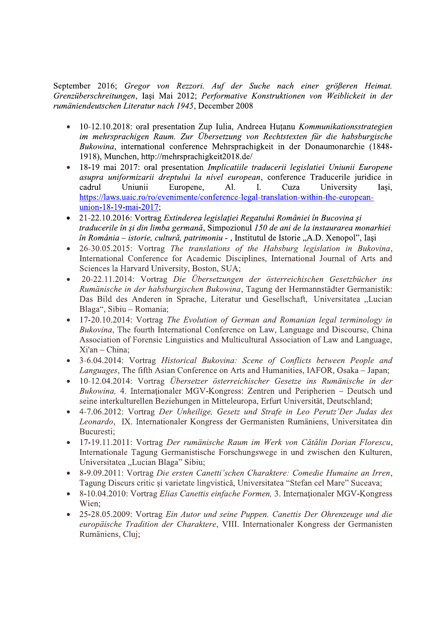September 2016; Gregor von Rezzori. Auf der Suche nach einer größeren Heimat. Grenzüberschreitungen, Iași Mai 2012; Performative Konstruktionen von Weiblickeit in der rumäniendeutschen Literatur nach 1945. December 2008

- $\bullet$ 10-12.10.2018: oral presentation Zup Iulia, Andreea Huțanu Kommunikationsstrategien im mehrsprachigen Raum. Zur Übersetzung von Rechtstexten für die habsburgische Bukowina, international conference Mehrsprachigkeit in der Donaumonarchie (1848-1918), Munchen, http://mehrsprachigkeit2018.de/
- 18-19 mai 2017: oral presentation Implicatiile traducerii legislatiei Uniunii Europene asupra uniformizarii dreptului la nivel european, conference Traducerile juridice in cadrul Uniunii Europene.  $AI.$ Cuza University  $\mathbf{I}$ . Iasi. https://laws.uaic.ro/ro/evenimente/conference-legal-translation-within-the-europeanunion-18-19-mai-2017;
- 21-22.10.2016: Vortrag Extinderea legislației Regatului României în Bucovina și traducerile în și din limba germană, Simpozionul 150 de ani de la instaurarea monarhiei în România – istorie, cultură, patrimoniu - , Institutul de Istorie "A.D. Xenopol", Iași
- 26-30.05.2015: Vortrag The translations of the Habsburg legislation in Bukovina, International Conference for Academic Disciplines, International Journal of Arts and Sciences la Harvard University, Boston, SUA;
- 20-22.11.2014: Vortrag Die Übersetzungen der österreichischen Gesetzbücher ins  $\bullet$ Rumänische in der habsburgischen Bukowina, Tagung der Hermannstädter Germanistik: Das Bild des Anderen in Sprache, Literatur und Gesellschaft, Universitatea "Lucian Blaga", Sibiu - Romania;
- 17-20.10.2014: Vortrag The Evolution of German and Romanian legal terminology in Bukovina, The fourth International Conference on Law, Language and Discourse, China Association of Forensic Linguistics and Multicultural Association of Law and Language,  $Xi<sup>1</sup>$ an - China:
- 3-6.04.2014: Vortrag Historical Bukovina: Scene of Conflicts between People and Languages, The fifth Asian Conference on Arts and Humanities, IAFOR, Osaka – Japan;
- 10-12.04.2014: Vortrag Übersetzer österreichischer Gesetze ins Rumänische in der Bukowina, 4. Internationaler MGV-Kongress: Zentren und Peripherien - Deutsch und seine interkulturellen Beziehungen in Mitteleuropa, Erfurt Universität, Deutschland;
- 4-7.06.2012: Vortrag Der Unheilige, Gesetz und Strafe in Leo Perutz'Der Judas des Leonardo, IX. Internationaler Kongress der Germanisten Rumäniens, Universitatea din Bucuresti;
- 17-19.11.2011: Vortrag Der rumänische Raum im Werk von Cătălin Dorian Florescu, Internationale Tagung Germanistische Forschungswege in und zwischen den Kulturen, Universitatea "Lucian Blaga" Sibiu;
- 8-9.09.2011: Vortrag Die ersten Canetti'schen Charaktere: Comedie Humaine an Irren, Tagung Discurs critic și varietate lingvistică, Universitatea "Stefan cel Mare" Suceava;
- 8-10.04.2010: Vortrag Elias Canettis einfache Formen, 3. Internationaler MGV-Kongress Wien;
- $\bullet$ 25-28.05.2009: Vortrag Ein Autor und seine Puppen. Canettis Der Ohrenzeuge und die europäische Tradition der Charaktere, VIII. Internationaler Kongress der Germanisten Rumäniens, Cluj;